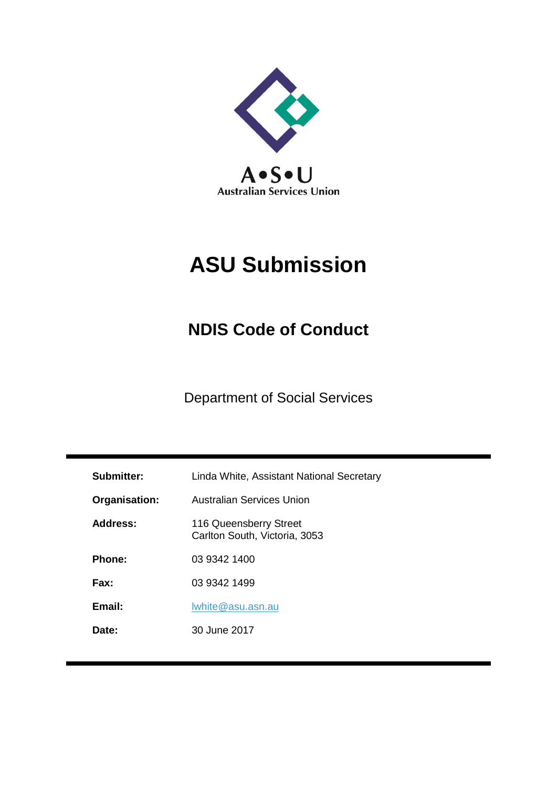

# **ASU Submission**

# **NDIS Code of Conduct**

Department of Social Services

| Submitter:    | Linda White, Assistant National Secretary               |
|---------------|---------------------------------------------------------|
| Organisation: | Australian Services Union                               |
| Address:      | 116 Queensberry Street<br>Carlton South, Victoria, 3053 |
| Phone:        | 03 9342 1400                                            |
| Fax:          | 03 9342 1499                                            |
| Email:        | Iwhite@asu.asn.au                                       |
| Date:         | 30 June 2017                                            |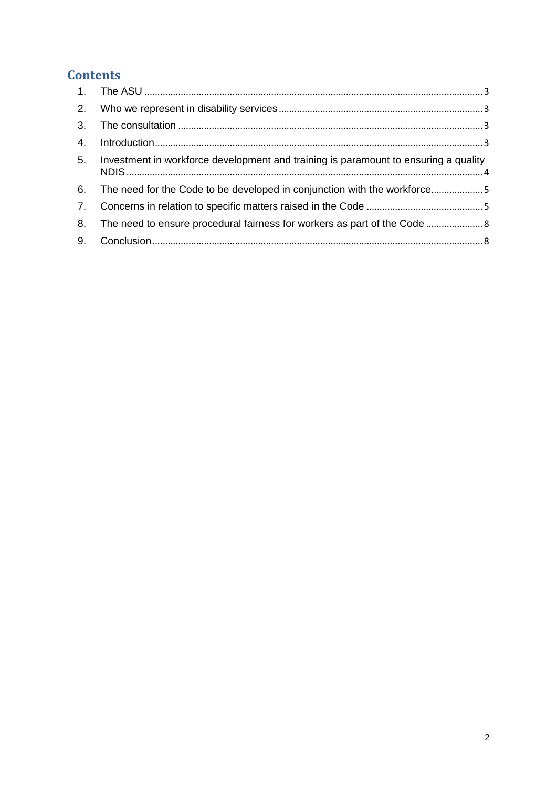# **Contents**

| 2.             |                                                                                     |  |
|----------------|-------------------------------------------------------------------------------------|--|
| 3 <sub>1</sub> |                                                                                     |  |
| 4.             |                                                                                     |  |
| 5.             | Investment in workforce development and training is paramount to ensuring a quality |  |
|                | 6. The need for the Code to be developed in conjunction with the workforce5         |  |
| 7.             |                                                                                     |  |
| 8.             | The need to ensure procedural fairness for workers as part of the Code  8           |  |
|                |                                                                                     |  |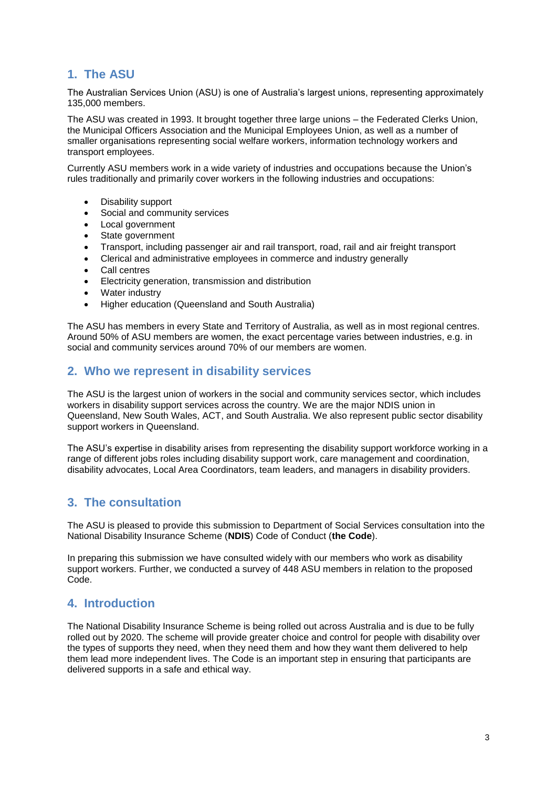### <span id="page-2-0"></span>**1. The ASU**

The Australian Services Union (ASU) is one of Australia's largest unions, representing approximately 135,000 members.

The ASU was created in 1993. It brought together three large unions – the Federated Clerks Union, the Municipal Officers Association and the Municipal Employees Union, as well as a number of smaller organisations representing social welfare workers, information technology workers and transport employees.

Currently ASU members work in a wide variety of industries and occupations because the Union's rules traditionally and primarily cover workers in the following industries and occupations:

- Disability support
- Social and community services
- Local government
- State government
- Transport, including passenger air and rail transport, road, rail and air freight transport
- Clerical and administrative employees in commerce and industry generally
- Call centres
- Electricity generation, transmission and distribution
- Water industry
- Higher education (Queensland and South Australia)

The ASU has members in every State and Territory of Australia, as well as in most regional centres. Around 50% of ASU members are women, the exact percentage varies between industries, e.g. in social and community services around 70% of our members are women.

#### <span id="page-2-1"></span>**2. Who we represent in disability services**

The ASU is the largest union of workers in the social and community services sector, which includes workers in disability support services across the country. We are the major NDIS union in Queensland, New South Wales, ACT, and South Australia. We also represent public sector disability support workers in Queensland.

The ASU's expertise in disability arises from representing the disability support workforce working in a range of different jobs roles including disability support work, care management and coordination, disability advocates, Local Area Coordinators, team leaders, and managers in disability providers.

#### <span id="page-2-2"></span>**3. The consultation**

The ASU is pleased to provide this submission to Department of Social Services consultation into the National Disability Insurance Scheme (**NDIS**) Code of Conduct (**the Code**).

In preparing this submission we have consulted widely with our members who work as disability support workers. Further, we conducted a survey of 448 ASU members in relation to the proposed Code.

#### <span id="page-2-3"></span>**4. Introduction**

The National Disability Insurance Scheme is being rolled out across Australia and is due to be fully rolled out by 2020. The scheme will provide greater choice and control for people with disability over the types of supports they need, when they need them and how they want them delivered to help them lead more independent lives. The Code is an important step in ensuring that participants are delivered supports in a safe and ethical way.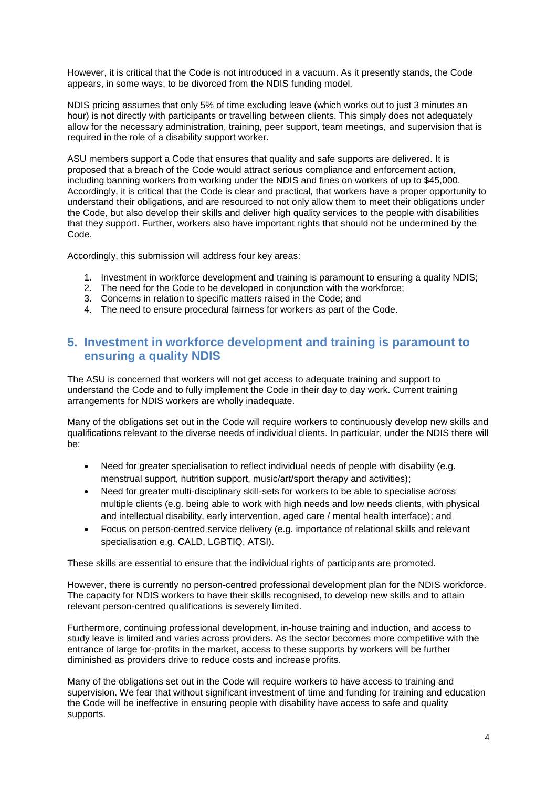However, it is critical that the Code is not introduced in a vacuum. As it presently stands, the Code appears, in some ways, to be divorced from the NDIS funding model.

NDIS pricing assumes that only 5% of time excluding leave (which works out to just 3 minutes an hour) is not directly with participants or travelling between clients. This simply does not adequately allow for the necessary administration, training, peer support, team meetings, and supervision that is required in the role of a disability support worker.

ASU members support a Code that ensures that quality and safe supports are delivered. It is proposed that a breach of the Code would attract serious compliance and enforcement action, including banning workers from working under the NDIS and fines on workers of up to \$45,000. Accordingly, it is critical that the Code is clear and practical, that workers have a proper opportunity to understand their obligations, and are resourced to not only allow them to meet their obligations under the Code, but also develop their skills and deliver high quality services to the people with disabilities that they support. Further, workers also have important rights that should not be undermined by the Code.

Accordingly, this submission will address four key areas:

- 1. Investment in workforce development and training is paramount to ensuring a quality NDIS;
- 2. The need for the Code to be developed in conjunction with the workforce;
- 3. Concerns in relation to specific matters raised in the Code; and
- 4. The need to ensure procedural fairness for workers as part of the Code.

#### <span id="page-3-0"></span>**5. Investment in workforce development and training is paramount to ensuring a quality NDIS**

The ASU is concerned that workers will not get access to adequate training and support to understand the Code and to fully implement the Code in their day to day work. Current training arrangements for NDIS workers are wholly inadequate.

Many of the obligations set out in the Code will require workers to continuously develop new skills and qualifications relevant to the diverse needs of individual clients. In particular, under the NDIS there will be:

- Need for greater specialisation to reflect individual needs of people with disability (e.g. menstrual support, nutrition support, music/art/sport therapy and activities);
- Need for greater multi-disciplinary skill-sets for workers to be able to specialise across multiple clients (e.g. being able to work with high needs and low needs clients, with physical and intellectual disability, early intervention, aged care / mental health interface); and
- Focus on person-centred service delivery (e.g. importance of relational skills and relevant specialisation e.g. CALD, LGBTIQ, ATSI).

These skills are essential to ensure that the individual rights of participants are promoted.

However, there is currently no person-centred professional development plan for the NDIS workforce. The capacity for NDIS workers to have their skills recognised, to develop new skills and to attain relevant person-centred qualifications is severely limited.

Furthermore, continuing professional development, in-house training and induction, and access to study leave is limited and varies across providers. As the sector becomes more competitive with the entrance of large for-profits in the market, access to these supports by workers will be further diminished as providers drive to reduce costs and increase profits.

Many of the obligations set out in the Code will require workers to have access to training and supervision. We fear that without significant investment of time and funding for training and education the Code will be ineffective in ensuring people with disability have access to safe and quality supports.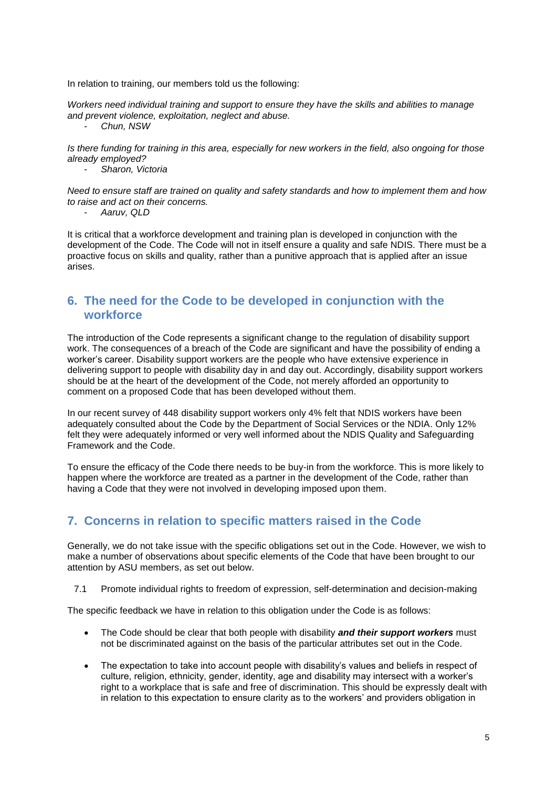In relation to training, our members told us the following:

*Workers need individual training and support to ensure they have the skills and abilities to manage and prevent violence, exploitation, neglect and abuse.* 

- *Chun, NSW*

*Is there funding for training in this area, especially for new workers in the field, also ongoing for those already employed?*

- *Sharon, Victoria*

*Need to ensure staff are trained on quality and safety standards and how to implement them and how to raise and act on their concerns.* 

- *Aaruv, QLD*

It is critical that a workforce development and training plan is developed in conjunction with the development of the Code. The Code will not in itself ensure a quality and safe NDIS. There must be a proactive focus on skills and quality, rather than a punitive approach that is applied after an issue arises.

#### <span id="page-4-0"></span>**6. The need for the Code to be developed in conjunction with the workforce**

The introduction of the Code represents a significant change to the regulation of disability support work. The consequences of a breach of the Code are significant and have the possibility of ending a worker's career. Disability support workers are the people who have extensive experience in delivering support to people with disability day in and day out. Accordingly, disability support workers should be at the heart of the development of the Code, not merely afforded an opportunity to comment on a proposed Code that has been developed without them.

In our recent survey of 448 disability support workers only 4% felt that NDIS workers have been adequately consulted about the Code by the Department of Social Services or the NDIA. Only 12% felt they were adequately informed or very well informed about the NDIS Quality and Safeguarding Framework and the Code.

To ensure the efficacy of the Code there needs to be buy-in from the workforce. This is more likely to happen where the workforce are treated as a partner in the development of the Code, rather than having a Code that they were not involved in developing imposed upon them.

## <span id="page-4-1"></span>**7. Concerns in relation to specific matters raised in the Code**

Generally, we do not take issue with the specific obligations set out in the Code. However, we wish to make a number of observations about specific elements of the Code that have been brought to our attention by ASU members, as set out below.

7.1 Promote individual rights to freedom of expression, self-determination and decision-making

The specific feedback we have in relation to this obligation under the Code is as follows:

- The Code should be clear that both people with disability *and their support workers* must not be discriminated against on the basis of the particular attributes set out in the Code.
- The expectation to take into account people with disability's values and beliefs in respect of culture, religion, ethnicity, gender, identity, age and disability may intersect with a worker's right to a workplace that is safe and free of discrimination. This should be expressly dealt with in relation to this expectation to ensure clarity as to the workers' and providers obligation in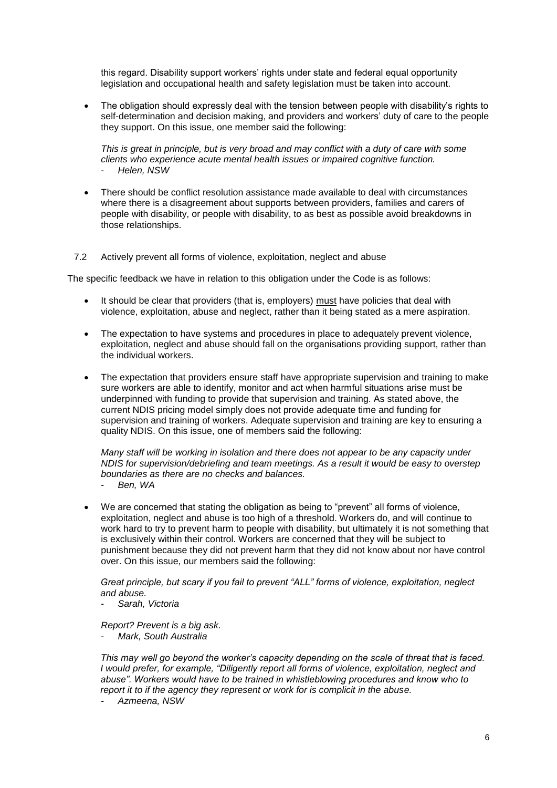this regard. Disability support workers' rights under state and federal equal opportunity legislation and occupational health and safety legislation must be taken into account.

 The obligation should expressly deal with the tension between people with disability's rights to self-determination and decision making, and providers and workers' duty of care to the people they support. On this issue, one member said the following:

*This is great in principle, but is very broad and may conflict with a duty of care with some clients who experience acute mental health issues or impaired cognitive function.* - *Helen, NSW*

- There should be conflict resolution assistance made available to deal with circumstances where there is a disagreement about supports between providers, families and carers of people with disability, or people with disability, to as best as possible avoid breakdowns in those relationships.
- 7.2 Actively prevent all forms of violence, exploitation, neglect and abuse

The specific feedback we have in relation to this obligation under the Code is as follows:

- It should be clear that providers (that is, employers) must have policies that deal with violence, exploitation, abuse and neglect, rather than it being stated as a mere aspiration.
- The expectation to have systems and procedures in place to adequately prevent violence. exploitation, neglect and abuse should fall on the organisations providing support, rather than the individual workers.
- The expectation that providers ensure staff have appropriate supervision and training to make sure workers are able to identify, monitor and act when harmful situations arise must be underpinned with funding to provide that supervision and training. As stated above, the current NDIS pricing model simply does not provide adequate time and funding for supervision and training of workers. Adequate supervision and training are key to ensuring a quality NDIS. On this issue, one of members said the following:

*Many staff will be working in isolation and there does not appear to be any capacity under NDIS for supervision/debriefing and team meetings. As a result it would be easy to overstep boundaries as there are no checks and balances.* 

- *Ben, WA*
- We are concerned that stating the obligation as being to "prevent" all forms of violence, exploitation, neglect and abuse is too high of a threshold. Workers do, and will continue to work hard to try to prevent harm to people with disability, but ultimately it is not something that is exclusively within their control. Workers are concerned that they will be subject to punishment because they did not prevent harm that they did not know about nor have control over. On this issue, our members said the following:

*Great principle, but scary if you fail to prevent "ALL" forms of violence, exploitation, neglect and abuse.* 

- *Sarah, Victoria*

*Report? Prevent is a big ask.*  - *Mark, South Australia*

*This may well go beyond the worker's capacity depending on the scale of threat that is faced. I would prefer, for example, "Diligently report all forms of violence, exploitation, neglect and abuse". Workers would have to be trained in whistleblowing procedures and know who to report it to if the agency they represent or work for is complicit in the abuse.* 

- *Azmeena, NSW*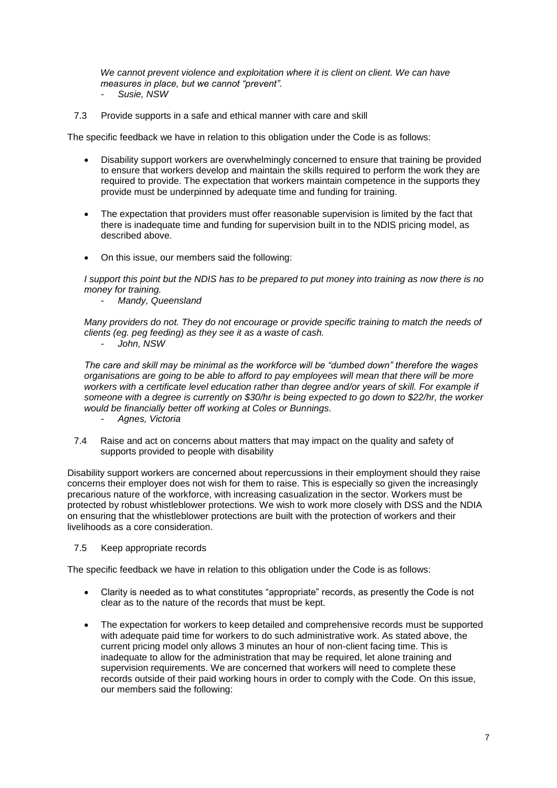*We cannot prevent violence and exploitation where it is client on client. We can have measures in place, but we cannot "prevent".*  - *Susie, NSW*

7.3 Provide supports in a safe and ethical manner with care and skill

The specific feedback we have in relation to this obligation under the Code is as follows:

- Disability support workers are overwhelmingly concerned to ensure that training be provided to ensure that workers develop and maintain the skills required to perform the work they are required to provide. The expectation that workers maintain competence in the supports they provide must be underpinned by adequate time and funding for training.
- The expectation that providers must offer reasonable supervision is limited by the fact that there is inadequate time and funding for supervision built in to the NDIS pricing model, as described above.
- On this issue, our members said the following:

*I support this point but the NDIS has to be prepared to put money into training as now there is no money for training.* 

- *Mandy, Queensland*

*Many providers do not. They do not encourage or provide specific training to match the needs of clients (eg. peg feeding) as they see it as a waste of cash.*  - *John, NSW*

*The care and skill may be minimal as the workforce will be "dumbed down" therefore the wages organisations are going to be able to afford to pay employees will mean that there will be more workers with a certificate level education rather than degree and/or years of skill. For example if someone with a degree is currently on \$30/hr is being expected to go down to \$22/hr, the worker would be financially better off working at Coles or Bunnings.* 

- *Agnes, Victoria*
- 7.4 Raise and act on concerns about matters that may impact on the quality and safety of supports provided to people with disability

Disability support workers are concerned about repercussions in their employment should they raise concerns their employer does not wish for them to raise. This is especially so given the increasingly precarious nature of the workforce, with increasing casualization in the sector. Workers must be protected by robust whistleblower protections. We wish to work more closely with DSS and the NDIA on ensuring that the whistleblower protections are built with the protection of workers and their livelihoods as a core consideration.

7.5 Keep appropriate records

The specific feedback we have in relation to this obligation under the Code is as follows:

- Clarity is needed as to what constitutes "appropriate" records, as presently the Code is not clear as to the nature of the records that must be kept.
- The expectation for workers to keep detailed and comprehensive records must be supported with adequate paid time for workers to do such administrative work. As stated above, the current pricing model only allows 3 minutes an hour of non-client facing time. This is inadequate to allow for the administration that may be required, let alone training and supervision requirements. We are concerned that workers will need to complete these records outside of their paid working hours in order to comply with the Code. On this issue, our members said the following: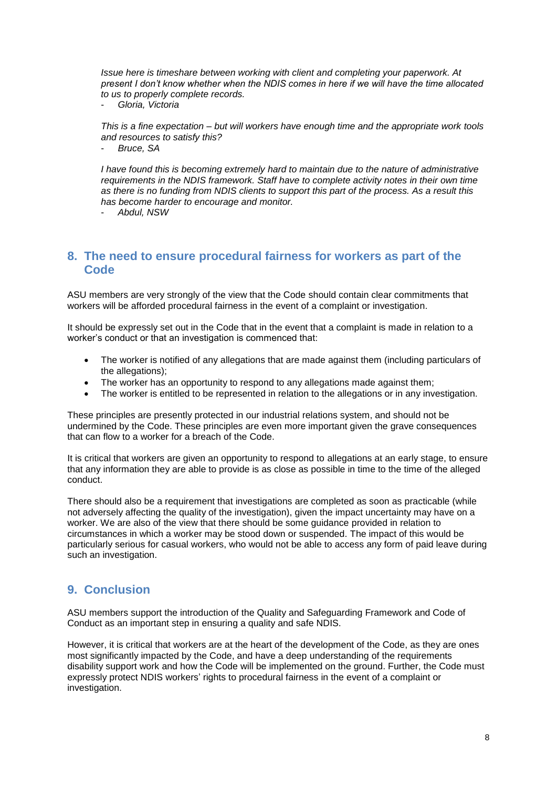*Issue here is timeshare between working with client and completing your paperwork. At present I don't know whether when the NDIS comes in here if we will have the time allocated to us to properly complete records.*

- *Gloria, Victoria*

*This is a fine expectation – but will workers have enough time and the appropriate work tools and resources to satisfy this?*

Bruce, SA

*I* have found this is becoming extremely hard to maintain due to the nature of administrative *requirements in the NDIS framework. Staff have to complete activity notes in their own time as there is no funding from NDIS clients to support this part of the process. As a result this has become harder to encourage and monitor.* 

- *Abdul, NSW*

#### <span id="page-7-0"></span>**8. The need to ensure procedural fairness for workers as part of the Code**

ASU members are very strongly of the view that the Code should contain clear commitments that workers will be afforded procedural fairness in the event of a complaint or investigation.

It should be expressly set out in the Code that in the event that a complaint is made in relation to a worker's conduct or that an investigation is commenced that:

- The worker is notified of any allegations that are made against them (including particulars of the allegations);
- The worker has an opportunity to respond to any allegations made against them;
- The worker is entitled to be represented in relation to the allegations or in any investigation.

These principles are presently protected in our industrial relations system, and should not be undermined by the Code. These principles are even more important given the grave consequences that can flow to a worker for a breach of the Code.

It is critical that workers are given an opportunity to respond to allegations at an early stage, to ensure that any information they are able to provide is as close as possible in time to the time of the alleged conduct.

There should also be a requirement that investigations are completed as soon as practicable (while not adversely affecting the quality of the investigation), given the impact uncertainty may have on a worker. We are also of the view that there should be some guidance provided in relation to circumstances in which a worker may be stood down or suspended. The impact of this would be particularly serious for casual workers, who would not be able to access any form of paid leave during such an investigation.

#### <span id="page-7-1"></span>**9. Conclusion**

ASU members support the introduction of the Quality and Safeguarding Framework and Code of Conduct as an important step in ensuring a quality and safe NDIS.

However, it is critical that workers are at the heart of the development of the Code, as they are ones most significantly impacted by the Code, and have a deep understanding of the requirements disability support work and how the Code will be implemented on the ground. Further, the Code must expressly protect NDIS workers' rights to procedural fairness in the event of a complaint or investigation.